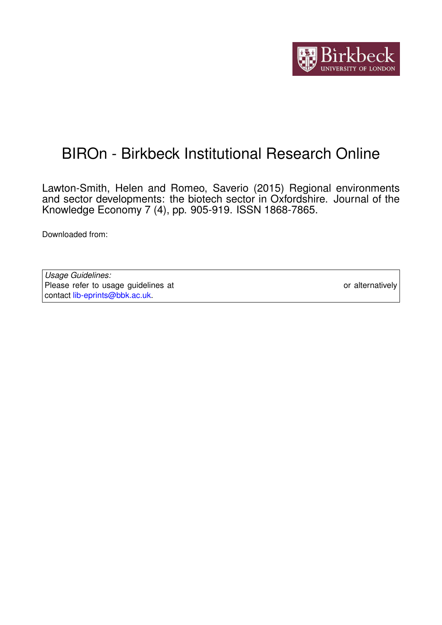

# BIROn - Birkbeck Institutional Research Online

Lawton-Smith, Helen and Romeo, Saverio (2015) Regional environments and sector developments: the biotech sector in Oxfordshire. Journal of the Knowledge Economy 7 (4), pp. 905-919. ISSN 1868-7865.

Downloaded from: <https://eprints.bbk.ac.uk/id/eprint/13678/>

*Usage Guidelines:* Please refer to usage guidelines at <https://eprints.bbk.ac.uk/policies.html> or alternatively contact [lib-eprints@bbk.ac.uk.](mailto:lib-eprints@bbk.ac.uk)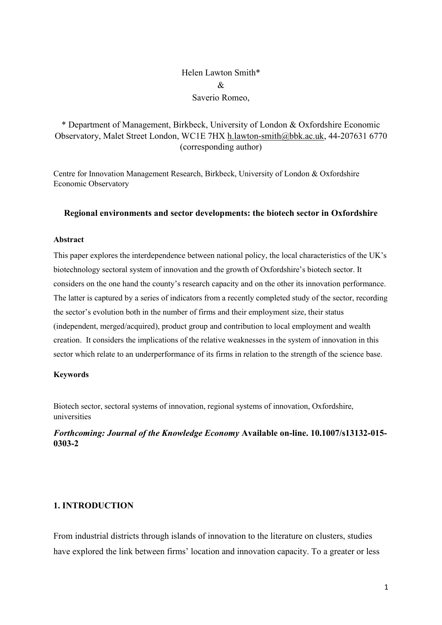# Helen Lawton Smith\*  $\mathcal{R}_{\mathcal{L}}$ Saverio Romeo,

# \* Department of Management, Birkbeck, University of London & Oxfordshire Economic Observatory, Malet Street London, WC1E 7HX [h.lawton-smith@bbk.ac.uk,](mailto:h.lawton-smith@bbk.ac.uk) 44-207631 6770 (corresponding author)

Centre for Innovation Management Research, Birkbeck, University of London & Oxfordshire Economic Observatory

#### **Regional environments and sector developments: the biotech sector in Oxfordshire**

#### **Abstract**

This paper explores the interdependence between national policy, the local characteristics of the UK's biotechnology sectoral system of innovation and the growth of Oxfordshire's biotech sector. It considers on the one hand the county's research capacity and on the other its innovation performance. The latter is captured by a series of indicators from a recently completed study of the sector, recording the sector's evolution both in the number of firms and their employment size, their status (independent, merged/acquired), product group and contribution to local employment and wealth creation. It considers the implications of the relative weaknesses in the system of innovation in this sector which relate to an underperformance of its firms in relation to the strength of the science base.

#### **Keywords**

Biotech sector, sectoral systems of innovation, regional systems of innovation, Oxfordshire, universities

### *Forthcoming: Journal of the Knowledge Economy* **Available on-line. 10.1007/s13132-015- 0303-2**

## **1. INTRODUCTION**

From industrial districts through islands of innovation to the literature on clusters, studies have explored the link between firms' location and innovation capacity. To a greater or less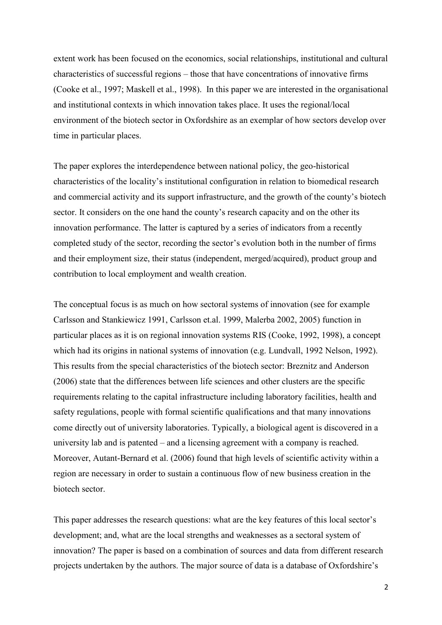extent work has been focused on the economics, social relationships, institutional and cultural characteristics of successful regions – those that have concentrations of innovative firms (Cooke et al., 1997; Maskell et al., 1998). In this paper we are interested in the organisational and institutional contexts in which innovation takes place. It uses the regional/local environment of the biotech sector in Oxfordshire as an exemplar of how sectors develop over time in particular places.

The paper explores the interdependence between national policy, the geo-historical characteristics of the locality's institutional configuration in relation to biomedical research and commercial activity and its support infrastructure, and the growth of the county's biotech sector. It considers on the one hand the county's research capacity and on the other its innovation performance. The latter is captured by a series of indicators from a recently completed study of the sector, recording the sector's evolution both in the number of firms and their employment size, their status (independent, merged/acquired), product group and contribution to local employment and wealth creation.

The conceptual focus is as much on how sectoral systems of innovation (see for example Carlsson and Stankiewicz 1991, Carlsson et.al. 1999, Malerba 2002, 2005) function in particular places as it is on regional innovation systems RIS (Cooke, 1992, 1998), a concept which had its origins in national systems of innovation (e.g. Lundvall, 1992 Nelson, 1992). This results from the special characteristics of the biotech sector: Breznitz and Anderson (2006) state that the differences between life sciences and other clusters are the specific requirements relating to the capital infrastructure including laboratory facilities, health and safety regulations, people with formal scientific qualifications and that many innovations come directly out of university laboratories. Typically, a biological agent is discovered in a university lab and is patented – and a licensing agreement with a company is reached. Moreover, Autant-Bernard et al. (2006) found that high levels of scientific activity within a region are necessary in order to sustain a continuous flow of new business creation in the biotech sector.

This paper addresses the research questions: what are the key features of this local sector's development; and, what are the local strengths and weaknesses as a sectoral system of innovation? The paper is based on a combination of sources and data from different research projects undertaken by the authors. The major source of data is a database of Oxfordshire's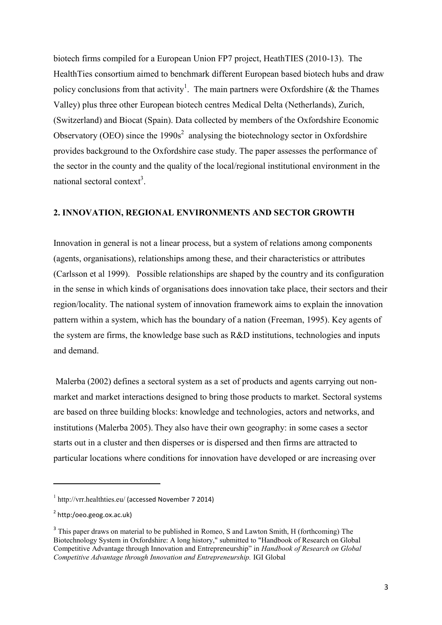biotech firms compiled for a European Union FP7 project, HeathTIES (2010-13). The HealthTies consortium aimed to benchmark different European based biotech hubs and draw policy conclusions from that activity<sup>1</sup>. The main partners were Oxfordshire ( $\&$  the Thames Valley) plus three other European biotech centres Medical Delta (Netherlands), Zurich, (Switzerland) and Biocat (Spain). Data collected by members of the Oxfordshire Economic Observatory (OEO) since the  $1990s<sup>2</sup>$  analysing the biotechnology sector in Oxfordshire provides background to the Oxfordshire case study. The paper assesses the performance of the sector in the county and the quality of the local/regional institutional environment in the national sectoral context<sup>3</sup>.

#### **2. INNOVATION, REGIONAL ENVIRONMENTS AND SECTOR GROWTH**

Innovation in general is not a linear process, but a system of relations among components (agents, organisations), relationships among these, and their characteristics or attributes (Carlsson et al 1999). Possible relationships are shaped by the country and its configuration in the sense in which kinds of organisations does innovation take place, their sectors and their region/locality. The national system of innovation framework aims to explain the innovation pattern within a system, which has the boundary of a nation (Freeman, 1995). Key agents of the system are firms, the knowledge base such as R&D institutions, technologies and inputs and demand.

Malerba (2002) defines a sectoral system as a set of products and agents carrying out nonmarket and market interactions designed to bring those products to market. Sectoral systems are based on three building blocks: knowledge and technologies, actors and networks, and institutions (Malerba 2005). They also have their own geography: in some cases a sector starts out in a cluster and then disperses or is dispersed and then firms are attracted to particular locations where conditions for innovation have developed or are increasing over

 $\overline{a}$ 

<sup>1</sup> <http://vrr.healthties.eu/> (accessed November 7 2014)

<sup>&</sup>lt;sup>2</sup> http:/oeo.geog.ox.ac.uk)

<sup>&</sup>lt;sup>3</sup> This paper draws on material to be published in Romeo, S and Lawton Smith, H (forthcoming) The Biotechnology System in Oxfordshire: A long history," submitted to "Handbook of Research on Global Competitive Advantage through Innovation and Entrepreneurship" in *Handbook of Research on Global Competitive Advantage through Innovation and Entrepreneurship.* IGI Global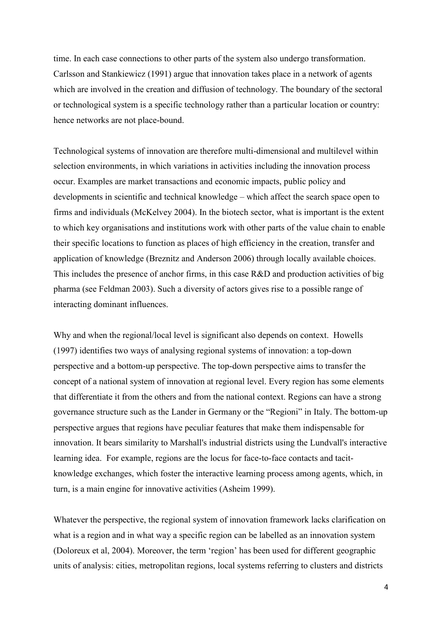time. In each case connections to other parts of the system also undergo transformation. Carlsson and Stankiewicz (1991) argue that innovation takes place in a network of agents which are involved in the creation and diffusion of technology. The boundary of the sectoral or technological system is a specific technology rather than a particular location or country: hence networks are not place-bound.

Technological systems of innovation are therefore multi-dimensional and multilevel within selection environments, in which variations in activities including the innovation process occur. Examples are market transactions and economic impacts, public policy and developments in scientific and technical knowledge – which affect the search space open to firms and individuals (McKelvey 2004). In the biotech sector, what is important is the extent to which key organisations and institutions work with other parts of the value chain to enable their specific locations to function as places of high efficiency in the creation, transfer and application of knowledge (Breznitz and Anderson 2006) through locally available choices. This includes the presence of anchor firms, in this case R&D and production activities of big pharma (see Feldman 2003). Such a diversity of actors gives rise to a possible range of interacting dominant influences.

Why and when the regional/local level is significant also depends on context. Howells (1997) identifies two ways of analysing regional systems of innovation: a top-down perspective and a bottom-up perspective. The top-down perspective aims to transfer the concept of a national system of innovation at regional level. Every region has some elements that differentiate it from the others and from the national context. Regions can have a strong governance structure such as the Lander in Germany or the "Regioni" in Italy. The bottom-up perspective argues that regions have peculiar features that make them indispensable for innovation. It bears similarity to Marshall's industrial districts using the Lundvall's interactive learning idea. For example, regions are the locus for face-to-face contacts and tacitknowledge exchanges, which foster the interactive learning process among agents, which, in turn, is a main engine for innovative activities (Asheim 1999).

Whatever the perspective, the regional system of innovation framework lacks clarification on what is a region and in what way a specific region can be labelled as an innovation system (Doloreux et al, 2004). Moreover, the term 'region' has been used for different geographic units of analysis: cities, metropolitan regions, local systems referring to clusters and districts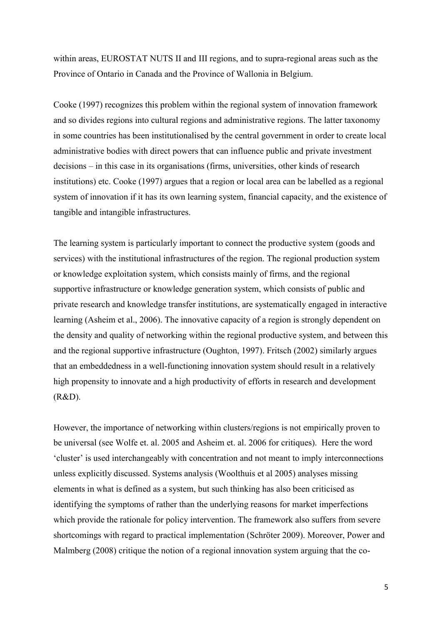within areas, EUROSTAT NUTS II and III regions, and to supra-regional areas such as the Province of Ontario in Canada and the Province of Wallonia in Belgium.

Cooke (1997) recognizes this problem within the regional system of innovation framework and so divides regions into cultural regions and administrative regions. The latter taxonomy in some countries has been institutionalised by the central government in order to create local administrative bodies with direct powers that can influence public and private investment decisions – in this case in its organisations (firms, universities, other kinds of research institutions) etc. Cooke (1997) argues that a region or local area can be labelled as a regional system of innovation if it has its own learning system, financial capacity, and the existence of tangible and intangible infrastructures.

The learning system is particularly important to connect the productive system (goods and services) with the institutional infrastructures of the region. The regional production system or knowledge exploitation system, which consists mainly of firms, and the regional supportive infrastructure or knowledge generation system, which consists of public and private research and knowledge transfer institutions, are systematically engaged in interactive learning (Asheim et al., 2006). The innovative capacity of a region is strongly dependent on the density and quality of networking within the regional productive system, and between this and the regional supportive infrastructure (Oughton, 1997). Fritsch (2002) similarly argues that an embeddedness in a well-functioning innovation system should result in a relatively high propensity to innovate and a high productivity of efforts in research and development (R&D).

However, the importance of networking within clusters/regions is not empirically proven to be universal (see Wolfe et. al. 2005 and Asheim et. al. 2006 for critiques). Here the word 'cluster' is used interchangeably with concentration and not meant to imply interconnections unless explicitly discussed. Systems analysis (Woolthuis et al 2005) analyses missing elements in what is defined as a system, but such thinking has also been criticised as identifying the symptoms of rather than the underlying reasons for market imperfections which provide the rationale for policy intervention. The framework also suffers from severe shortcomings with regard to practical implementation (Schröter 2009). Moreover, Power and Malmberg (2008) critique the notion of a regional innovation system arguing that the co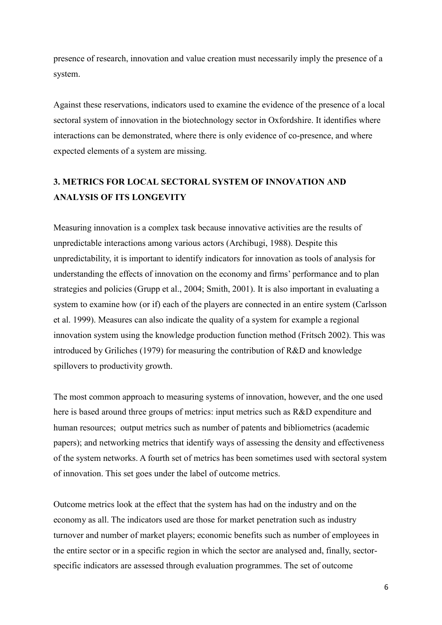presence of research, innovation and value creation must necessarily imply the presence of a system.

Against these reservations, indicators used to examine the evidence of the presence of a local sectoral system of innovation in the biotechnology sector in Oxfordshire. It identifies where interactions can be demonstrated, where there is only evidence of co-presence, and where expected elements of a system are missing.

# **3. METRICS FOR LOCAL SECTORAL SYSTEM OF INNOVATION AND ANALYSIS OF ITS LONGEVITY**

Measuring innovation is a complex task because innovative activities are the results of unpredictable interactions among various actors (Archibugi, 1988). Despite this unpredictability, it is important to identify indicators for innovation as tools of analysis for understanding the effects of innovation on the economy and firms' performance and to plan strategies and policies (Grupp et al., 2004; Smith, 2001). It is also important in evaluating a system to examine how (or if) each of the players are connected in an entire system (Carlsson et al. 1999). Measures can also indicate the quality of a system for example a regional innovation system using the knowledge production function method (Fritsch 2002). This was introduced by Griliches (1979) for measuring the contribution of R&D and knowledge spillovers to productivity growth.

The most common approach to measuring systems of innovation, however, and the one used here is based around three groups of metrics: input metrics such as R&D expenditure and human resources; output metrics such as number of patents and bibliometrics (academic papers); and networking metrics that identify ways of assessing the density and effectiveness of the system networks. A fourth set of metrics has been sometimes used with sectoral system of innovation. This set goes under the label of outcome metrics.

Outcome metrics look at the effect that the system has had on the industry and on the economy as all. The indicators used are those for market penetration such as industry turnover and number of market players; economic benefits such as number of employees in the entire sector or in a specific region in which the sector are analysed and, finally, sectorspecific indicators are assessed through evaluation programmes. The set of outcome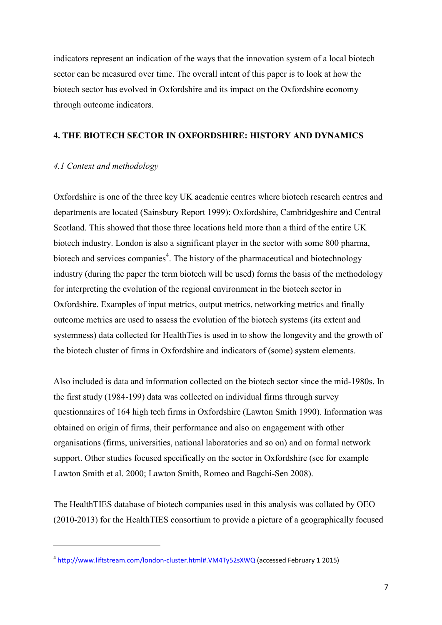indicators represent an indication of the ways that the innovation system of a local biotech sector can be measured over time. The overall intent of this paper is to look at how the biotech sector has evolved in Oxfordshire and its impact on the Oxfordshire economy through outcome indicators.

#### **4. THE BIOTECH SECTOR IN OXFORDSHIRE: HISTORY AND DYNAMICS**

#### *4.1 Context and methodology*

**.** 

Oxfordshire is one of the three key UK academic centres where biotech research centres and departments are located (Sainsbury Report 1999): Oxfordshire, Cambridgeshire and Central Scotland. This showed that those three locations held more than a third of the entire UK biotech industry. London is also a significant player in the sector with some 800 pharma, biotech and services companies<sup>4</sup>. The history of the pharmaceutical and biotechnology industry (during the paper the term biotech will be used) forms the basis of the methodology for interpreting the evolution of the regional environment in the biotech sector in Oxfordshire. Examples of input metrics, output metrics, networking metrics and finally outcome metrics are used to assess the evolution of the biotech systems (its extent and systemness) data collected for HealthTies is used in to show the longevity and the growth of the biotech cluster of firms in Oxfordshire and indicators of (some) system elements.

Also included is data and information collected on the biotech sector since the mid-1980s. In the first study (1984-199) data was collected on individual firms through survey questionnaires of 164 high tech firms in Oxfordshire (Lawton Smith 1990). Information was obtained on origin of firms, their performance and also on engagement with other organisations (firms, universities, national laboratories and so on) and on formal network support. Other studies focused specifically on the sector in Oxfordshire (see for example Lawton Smith et al. 2000; Lawton Smith, Romeo and Bagchi-Sen 2008).

The HealthTIES database of biotech companies used in this analysis was collated by OEO (2010-2013) for the HealthTIES consortium to provide a picture of a geographically focused

<sup>&</sup>lt;sup>4</sup> <http://www.liftstream.com/london-cluster.html#.VM4Ty52sXWQ> (accessed February 1 2015)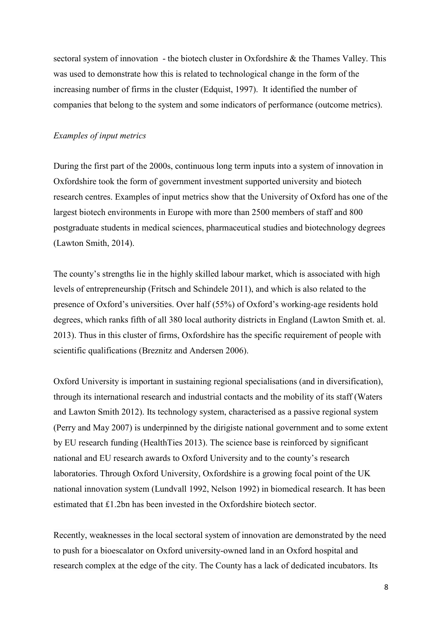sectoral system of innovation - the biotech cluster in Oxfordshire & the Thames Valley. This was used to demonstrate how this is related to technological change in the form of the increasing number of firms in the cluster (Edquist, 1997). It identified the number of companies that belong to the system and some indicators of performance (outcome metrics).

#### *Examples of input metrics*

During the first part of the 2000s, continuous long term inputs into a system of innovation in Oxfordshire took the form of government investment supported university and biotech research centres. Examples of input metrics show that the University of Oxford has one of the largest biotech environments in Europe with more than 2500 members of staff and 800 postgraduate students in medical sciences, pharmaceutical studies and biotechnology degrees (Lawton Smith, 2014).

The county's strengths lie in the highly skilled labour market, which is associated with high levels of entrepreneurship (Fritsch and Schindele 2011), and which is also related to the presence of Oxford's universities. Over half (55%) of Oxford's working-age residents hold degrees, which ranks fifth of all 380 local authority districts in England (Lawton Smith et. al. 2013). Thus in this cluster of firms, Oxfordshire has the specific requirement of people with scientific qualifications (Breznitz and Andersen 2006).

Oxford University is important in sustaining regional specialisations (and in diversification), through its international research and industrial contacts and the mobility of its staff (Waters and Lawton Smith 2012). Its technology system, characterised as a passive regional system (Perry and May 2007) is underpinned by the dirigiste national government and to some extent by EU research funding (HealthTies 2013). The science base is reinforced by significant national and EU research awards to Oxford University and to the county's research laboratories. Through Oxford University, Oxfordshire is a growing focal point of the UK national innovation system (Lundvall 1992, Nelson 1992) in biomedical research. It has been estimated that £1.2bn has been invested in the Oxfordshire biotech sector.

Recently, weaknesses in the local sectoral system of innovation are demonstrated by the need to push for a bioescalator on Oxford university-owned land in an Oxford hospital and research complex at the edge of the city. The County has a lack of dedicated incubators. Its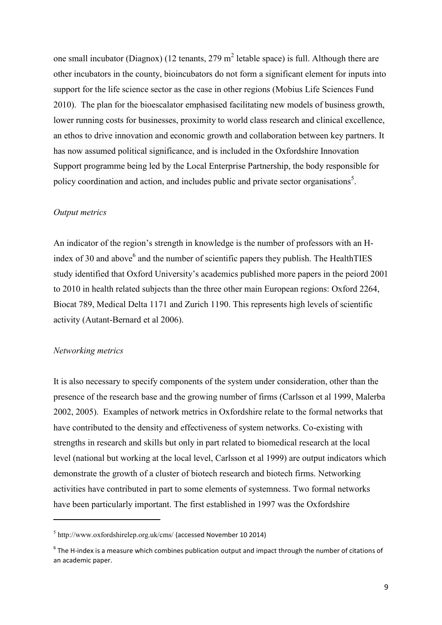one small incubator (Diagnox) (12 tenants, 279 m<sup>2</sup> letable space) is full. Although there are other incubators in the county, bioincubators do not form a significant element for inputs into support for the life science sector as the case in other regions (Mobius Life Sciences Fund 2010). The plan for the bioescalator emphasised facilitating new models of business growth, lower running costs for businesses, proximity to world class research and clinical excellence, an ethos to drive innovation and economic growth and collaboration between key partners. It has now assumed political significance, and is included in the Oxfordshire Innovation Support programme being led by the Local Enterprise Partnership, the body responsible for policy coordination and action, and includes public and private sector organisations<sup>5</sup>.

#### *Output metrics*

An indicator of the region's strength in knowledge is the number of professors with an Hindex of 30 and above $<sup>6</sup>$  and the number of scientific papers they publish. The HealthTIES</sup> study identified that Oxford University's academics published more papers in the peiord 2001 to 2010 in health related subjects than the three other main European regions: Oxford 2264, Biocat 789, Medical Delta 1171 and Zurich 1190. This represents high levels of scientific activity (Autant-Bernard et al 2006).

#### *Networking metrics*

1

It is also necessary to specify components of the system under consideration, other than the presence of the research base and the growing number of firms (Carlsson et al 1999, Malerba 2002, 2005). Examples of network metrics in Oxfordshire relate to the formal networks that have contributed to the density and effectiveness of system networks. Co-existing with strengths in research and skills but only in part related to biomedical research at the local level (national but working at the local level, Carlsson et al 1999) are output indicators which demonstrate the growth of a cluster of biotech research and biotech firms. Networking activities have contributed in part to some elements of systemness. Two formal networks have been particularly important. The first established in 1997 was the Oxfordshire

<sup>5</sup> <http://www.oxfordshirelep.org.uk/cms/> (accessed November 10 2014)

 $6$  The H-index is a measure which combines publication output and impact through the number of citations of an academic paper.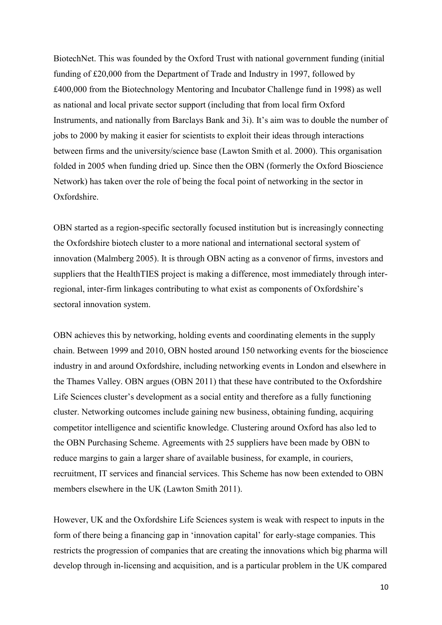BiotechNet. This was founded by the Oxford Trust with national government funding (initial funding of £20,000 from the Department of Trade and Industry in 1997, followed by £400,000 from the Biotechnology Mentoring and Incubator Challenge fund in 1998) as well as national and local private sector support (including that from local firm Oxford Instruments, and nationally from Barclays Bank and 3i). It's aim was to double the number of jobs to 2000 by making it easier for scientists to exploit their ideas through interactions between firms and the university/science base (Lawton Smith et al. 2000). This organisation folded in 2005 when funding dried up. Since then the OBN (formerly the Oxford Bioscience Network) has taken over the role of being the focal point of networking in the sector in Oxfordshire.

OBN started as a region-specific sectorally focused institution but is increasingly connecting the Oxfordshire biotech cluster to a more national and international sectoral system of innovation (Malmberg 2005). It is through OBN acting as a convenor of firms, investors and suppliers that the HealthTIES project is making a difference, most immediately through interregional, inter-firm linkages contributing to what exist as components of Oxfordshire's sectoral innovation system.

OBN achieves this by networking, holding events and coordinating elements in the supply chain. Between 1999 and 2010, OBN hosted around 150 networking events for the bioscience industry in and around Oxfordshire, including networking events in London and elsewhere in the Thames Valley. OBN argues (OBN 2011) that these have contributed to the Oxfordshire Life Sciences cluster's development as a social entity and therefore as a fully functioning cluster. Networking outcomes include gaining new business, obtaining funding, acquiring competitor intelligence and scientific knowledge. Clustering around Oxford has also led to the OBN Purchasing Scheme. Agreements with 25 suppliers have been made by OBN to reduce margins to gain a larger share of available business, for example, in couriers, recruitment, IT services and financial services. This Scheme has now been extended to OBN members elsewhere in the UK (Lawton Smith 2011).

However, UK and the Oxfordshire Life Sciences system is weak with respect to inputs in the form of there being a financing gap in 'innovation capital' for early-stage companies. This restricts the progression of companies that are creating the innovations which big pharma will develop through in-licensing and acquisition, and is a particular problem in the UK compared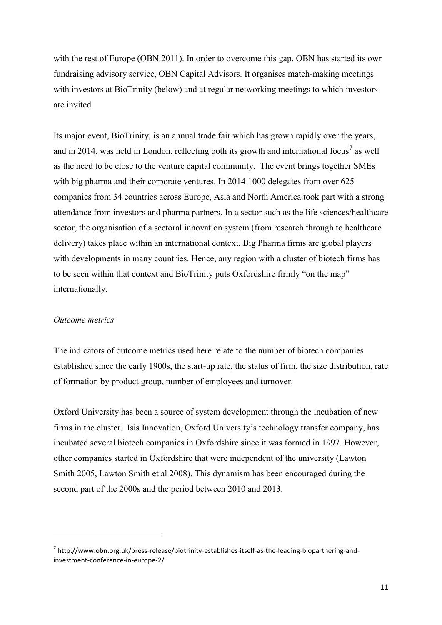with the rest of Europe (OBN 2011). In order to overcome this gap, OBN has started its own fundraising advisory service, OBN Capital Advisors. It organises match-making meetings with investors at BioTrinity (below) and at regular networking meetings to which investors are invited.

Its major event, BioTrinity, is an annual trade fair which has grown rapidly over the years, and in 2014, was held in London, reflecting both its growth and international focus<sup>7</sup> as well as the need to be close to the venture capital community. The event brings together SMEs with big pharma and their corporate ventures. In 2014 1000 delegates from over 625 companies from 34 countries across Europe, Asia and North America took part with a strong attendance from investors and pharma partners. In a sector such as the life sciences/healthcare sector, the organisation of a sectoral innovation system (from research through to healthcare delivery) takes place within an international context. Big Pharma firms are global players with developments in many countries. Hence, any region with a cluster of biotech firms has to be seen within that context and BioTrinity puts Oxfordshire firmly "on the map" internationally.

#### *Outcome metrics*

 $\overline{a}$ 

The indicators of outcome metrics used here relate to the number of biotech companies established since the early 1900s, the start-up rate, the status of firm, the size distribution, rate of formation by product group, number of employees and turnover.

Oxford University has been a source of system development through the incubation of new firms in the cluster. Isis Innovation, Oxford University's technology transfer company, has incubated several biotech companies in Oxfordshire since it was formed in 1997. However, other companies started in Oxfordshire that were independent of the university (Lawton Smith 2005, Lawton Smith et al 2008). This dynamism has been encouraged during the second part of the 2000s and the period between 2010 and 2013.

<sup>&</sup>lt;sup>7</sup> http://www.obn.org.uk/press-release/biotrinity-establishes-itself-as-the-leading-biopartnering-andinvestment-conference-in-europe-2/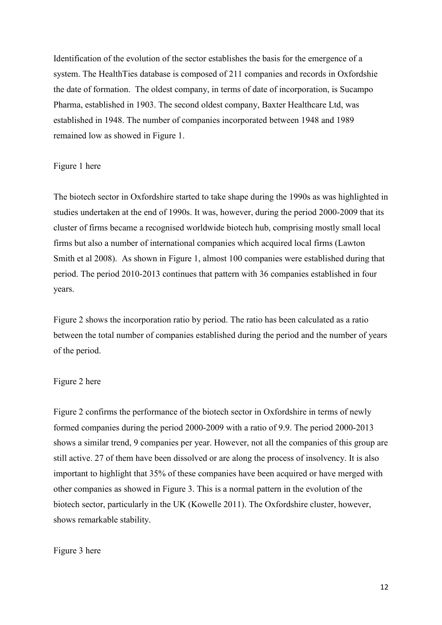Identification of the evolution of the sector establishes the basis for the emergence of a system. The HealthTies database is composed of 211 companies and records in Oxfordshie the date of formation. The oldest company, in terms of date of incorporation, is Sucampo Pharma, established in 1903. The second oldest company, Baxter Healthcare Ltd, was established in 1948. The number of companies incorporated between 1948 and 1989 remained low as showed in Figure 1.

#### Figure 1 here

The biotech sector in Oxfordshire started to take shape during the 1990s as was highlighted in studies undertaken at the end of 1990s. It was, however, during the period 2000-2009 that its cluster of firms became a recognised worldwide biotech hub, comprising mostly small local firms but also a number of international companies which acquired local firms (Lawton Smith et al 2008). As shown in Figure 1, almost 100 companies were established during that period. The period 2010-2013 continues that pattern with 36 companies established in four years.

Figure 2 shows the incorporation ratio by period. The ratio has been calculated as a ratio between the total number of companies established during the period and the number of years of the period.

#### Figure 2 here

Figure 2 confirms the performance of the biotech sector in Oxfordshire in terms of newly formed companies during the period 2000-2009 with a ratio of 9.9. The period 2000-2013 shows a similar trend, 9 companies per year. However, not all the companies of this group are still active. 27 of them have been dissolved or are along the process of insolvency. It is also important to highlight that 35% of these companies have been acquired or have merged with other companies as showed in Figure 3. This is a normal pattern in the evolution of the biotech sector, particularly in the UK (Kowelle 2011). The Oxfordshire cluster, however, shows remarkable stability.

#### Figure 3 here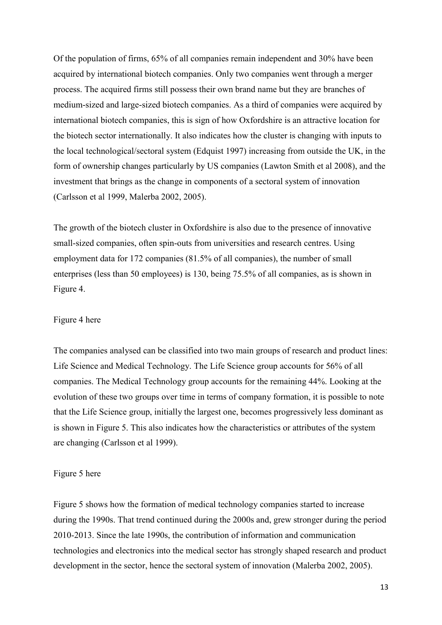Of the population of firms, 65% of all companies remain independent and 30% have been acquired by international biotech companies. Only two companies went through a merger process. The acquired firms still possess their own brand name but they are branches of medium-sized and large-sized biotech companies. As a third of companies were acquired by international biotech companies, this is sign of how Oxfordshire is an attractive location for the biotech sector internationally. It also indicates how the cluster is changing with inputs to the local technological/sectoral system (Edquist 1997) increasing from outside the UK, in the form of ownership changes particularly by US companies (Lawton Smith et al 2008), and the investment that brings as the change in components of a sectoral system of innovation (Carlsson et al 1999, Malerba 2002, 2005).

The growth of the biotech cluster in Oxfordshire is also due to the presence of innovative small-sized companies, often spin-outs from universities and research centres. Using employment data for 172 companies (81.5% of all companies), the number of small enterprises (less than 50 employees) is 130, being 75.5% of all companies, as is shown in Figure 4.

#### Figure 4 here

The companies analysed can be classified into two main groups of research and product lines: Life Science and Medical Technology. The Life Science group accounts for 56% of all companies. The Medical Technology group accounts for the remaining 44%. Looking at the evolution of these two groups over time in terms of company formation, it is possible to note that the Life Science group, initially the largest one, becomes progressively less dominant as is shown in Figure 5. This also indicates how the characteristics or attributes of the system are changing (Carlsson et al 1999).

#### Figure 5 here

Figure 5 shows how the formation of medical technology companies started to increase during the 1990s. That trend continued during the 2000s and, grew stronger during the period 2010-2013. Since the late 1990s, the contribution of information and communication technologies and electronics into the medical sector has strongly shaped research and product development in the sector, hence the sectoral system of innovation (Malerba 2002, 2005).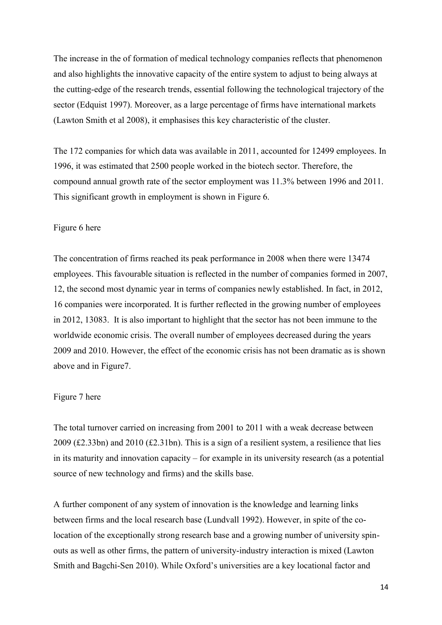The increase in the of formation of medical technology companies reflects that phenomenon and also highlights the innovative capacity of the entire system to adjust to being always at the cutting-edge of the research trends, essential following the technological trajectory of the sector (Edquist 1997). Moreover, as a large percentage of firms have international markets (Lawton Smith et al 2008), it emphasises this key characteristic of the cluster.

The 172 companies for which data was available in 2011, accounted for 12499 employees. In 1996, it was estimated that 2500 people worked in the biotech sector. Therefore, the compound annual growth rate of the sector employment was 11.3% between 1996 and 2011. This significant growth in employment is shown in Figure 6.

#### Figure 6 here

The concentration of firms reached its peak performance in 2008 when there were 13474 employees. This favourable situation is reflected in the number of companies formed in 2007, 12, the second most dynamic year in terms of companies newly established. In fact, in 2012, 16 companies were incorporated. It is further reflected in the growing number of employees in 2012, 13083. It is also important to highlight that the sector has not been immune to the worldwide economic crisis. The overall number of employees decreased during the years 2009 and 2010. However, the effect of the economic crisis has not been dramatic as is shown above and in Figure7.

#### Figure 7 here

The total turnover carried on increasing from 2001 to 2011 with a weak decrease between 2009 (£2.33bn) and 2010 (£2.31bn). This is a sign of a resilient system, a resilience that lies in its maturity and innovation capacity – for example in its university research (as a potential source of new technology and firms) and the skills base.

A further component of any system of innovation is the knowledge and learning links between firms and the local research base (Lundvall 1992). However, in spite of the colocation of the exceptionally strong research base and a growing number of university spinouts as well as other firms, the pattern of university-industry interaction is mixed (Lawton Smith and Bagchi-Sen 2010). While Oxford's universities are a key locational factor and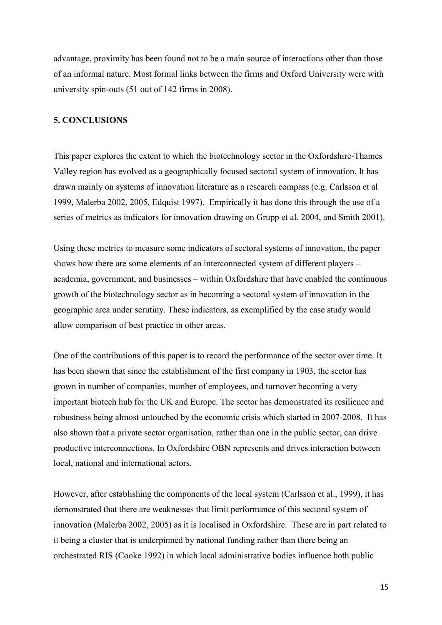advantage, proximity has been found not to be a main source of interactions other than those of an informal nature. Most formal links between the firms and Oxford University were with university spin-outs (51 out of 142 firms in 2008).

#### **5. CONCLUSIONS**

This paper explores the extent to which the biotechnology sector in the Oxfordshire-Thames Valley region has evolved as a geographically focused sectoral system of innovation. It has drawn mainly on systems of innovation literature as a research compass (e.g. Carlsson et al 1999, Malerba 2002, 2005, Edquist 1997). Empirically it has done this through the use of a series of metrics as indicators for innovation drawing on Grupp et al. 2004, and Smith 2001).

Using these metrics to measure some indicators of sectoral systems of innovation, the paper shows how there are some elements of an interconnected system of different players – academia, government, and businesses – within Oxfordshire that have enabled the continuous growth of the biotechnology sector as in becoming a sectoral system of innovation in the geographic area under scrutiny. These indicators, as exemplified by the case study would allow comparison of best practice in other areas.

One of the contributions of this paper is to record the performance of the sector over time. It has been shown that since the establishment of the first company in 1903, the sector has grown in number of companies, number of employees, and turnover becoming a very important biotech hub for the UK and Europe. The sector has demonstrated its resilience and robustness being almost untouched by the economic crisis which started in 2007-2008. It has also shown that a private sector organisation, rather than one in the public sector, can drive productive interconnections. In Oxfordshire OBN represents and drives interaction between local, national and international actors.

However, after establishing the components of the local system (Carlsson et al., 1999), it has demonstrated that there are weaknesses that limit performance of this sectoral system of innovation (Malerba 2002, 2005) as it is localised in Oxfordshire. These are in part related to it being a cluster that is underpinned by national funding rather than there being an orchestrated RIS (Cooke 1992) in which local administrative bodies influence both public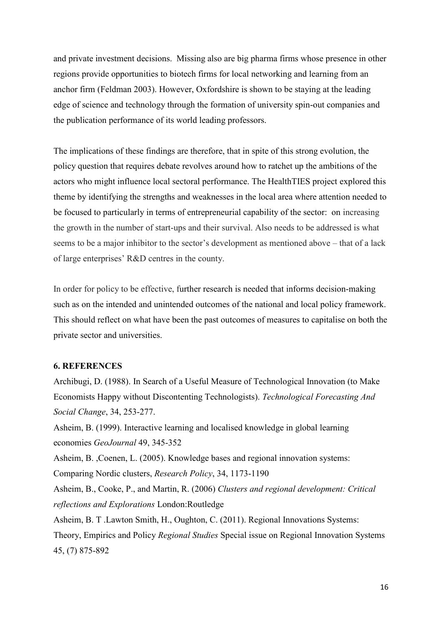and private investment decisions. Missing also are big pharma firms whose presence in other regions provide opportunities to biotech firms for local networking and learning from an anchor firm (Feldman 2003). However, Oxfordshire is shown to be staying at the leading edge of science and technology through the formation of university spin-out companies and the publication performance of its world leading professors.

The implications of these findings are therefore, that in spite of this strong evolution, the policy question that requires debate revolves around how to ratchet up the ambitions of the actors who might influence local sectoral performance. The HealthTIES project explored this theme by identifying the strengths and weaknesses in the local area where attention needed to be focused to particularly in terms of entrepreneurial capability of the sector: on increasing the growth in the number of start-ups and their survival. Also needs to be addressed is what seems to be a major inhibitor to the sector's development as mentioned above – that of a lack of large enterprises' R&D centres in the county.

In order for policy to be effective, further research is needed that informs decision-making such as on the intended and unintended outcomes of the national and local policy framework. This should reflect on what have been the past outcomes of measures to capitalise on both the private sector and universities.

#### **6. REFERENCES**

Archibugi, D. (1988). In Search of a Useful Measure of Technological Innovation (to Make Economists Happy without Discontenting Technologists). *Technological Forecasting And Social Change*, 34, 253-277.

Asheim, B. (1999). Interactive learning and localised knowledge in global learning economies *GeoJournal* 49, 345-352

Asheim, B. ,Coenen, L. (2005). Knowledge bases and regional innovation systems:

Comparing Nordic clusters, *Research Policy*, 34, 1173-1190

Asheim, B., Cooke, P., and Martin, R. (2006) *Clusters and regional development: Critical reflections and Explorations* London:Routledge

Asheim, B. T .Lawton Smith, H., Oughton, C. (2011). Regional Innovations Systems: Theory, Empirics and Policy *Regional Studies* Special issue on Regional Innovation Systems 45, (7) 875-892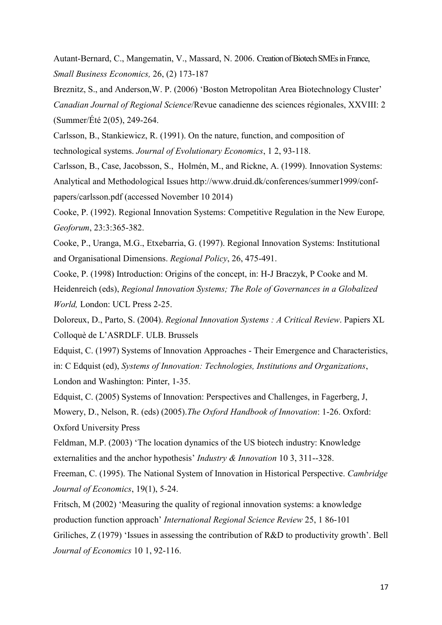Autant-Bernard, C., Mangematin, V., Massard, N. 2006. Creation of Biotech SMEs in France, *[Small Business Economics,](http://www.ingentaconnect.com/content/klu/sbej)* 26, (2) 173-187

Breznitz, S., and Anderson,W. P. (2006) 'Boston Metropolitan Area Biotechnology Cluster' *Canadian Journal of Regional Science*/Revue canadienne des sciences régionales, XXVIII: 2 (Summer/Été 2(05), 249-264.

Carlsson, B., Stankiewicz, R. (1991). On the nature, function, and composition of technological systems. *Journal of Evolutionary Economics*, 1 2, 93-118.

Carlsson, B., Case, Jacobsson, S., Holmén, M., and Rickne, A. (1999). Innovation Systems: Analytical and Methodological Issues [http://www.druid.dk/conferences/summer1999/conf](http://www.druid.dk/conferences/summer1999/conf-papers/carlsson.pdf)[papers/carlsson.pdf](http://www.druid.dk/conferences/summer1999/conf-papers/carlsson.pdf) (accessed November 10 2014)

Cooke, P. (1992). Regional Innovation Systems: Competitive Regulation in the New Europe*, Geoforum*, 23:3:365-382.

Cooke, P., Uranga, M.G., Etxebarria, G. (1997). Regional Innovation Systems: Institutional and Organisational Dimensions. *Regional Policy*, 26, 475-491.

Cooke, P. (1998) Introduction: Origins of the concept, in: H-J Braczyk, P Cooke and M. Heidenreich (eds), *Regional Innovation Systems; The Role of Governances in a Globalized World,* London: UCL Press 2-25.

Doloreux, D., Parto, S. (2004). *Regional Innovation Systems : A Critical Review*. Papiers XL Colloquè de L'ASRDLF. ULB. Brussels

Edquist, C. (1997) Systems of Innovation Approaches - Their Emergence and Characteristics, in: C Edquist (ed), *Systems of Innovation: Technologies, Institutions and Organizations*, London and Washington: Pinter, 1-35.

Edquist, C. (2005) Systems of Innovation: Perspectives and Challenges, in Fagerberg, J, Mowery, D., Nelson, R. (eds) (2005).*The Oxford Handbook of Innovation*: 1-26. Oxford: Oxford University Press

Feldman, M.P. (2003) '[The location dynamics of the US biotech industry: Knowledge](http://www.druid.dk/uploads/tx_picturedb/ds2002-678.pdf)  [externalities and the anchor hypothesis](http://www.druid.dk/uploads/tx_picturedb/ds2002-678.pdf)' *Industry & Innovation* 10 3, 311--328.

Freeman, C. (1995). The National System of Innovation in Historical Perspective. *Cambridge Journal of Economics*, 19(1), 5-24.

Fritsch, M (2002) 'Measuring the quality of regional innovation systems: a knowledge production function approach' *International Regional Science Review* 25, 1 86-101 Griliches, Z (1979) 'Issues in assessing the contribution of R&D to productivity growth'. Bell *Journal of Economics* 10 1, 92-116.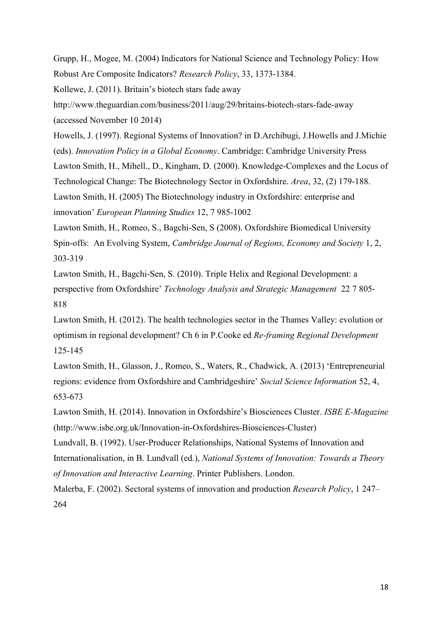Grupp, H., Mogee, M. (2004) Indicators for National Science and Technology Policy: How Robust Are Composite Indicators? *Research Policy*, 33, 1373-1384.

[Kollewe](http://www.theguardian.com/profile/juliakollewe), J. (2011). Britain's biotech stars fade away

<http://www.theguardian.com/business/2011/aug/29/britains-biotech-stars-fade-away> (accessed November 10 2014)

Howells, J. (1997). Regional Systems of Innovation? in D.Archibugi, J.Howells and J.Michie (eds). *Innovation Policy in a Global Economy*. Cambridge: Cambridge University Press Lawton Smith, H., Mihell., D., Kingham, D. (2000). Knowledge-Complexes and the Locus of Technological Change: The Biotechnology Sector in Oxfordshire. *Area*, 32, (2) 179-188. Lawton Smith, H. (2005) The Biotechnology industry in Oxfordshire: enterprise and innovation' *European Planning Studies* 12, 7 985-1002

Lawton Smith, H., Romeo, S., Bagchi-Sen, S (2008). Oxfordshire Biomedical University Spin-offs: An Evolving System, *Cambridge Journal of Regions, Economy and Society* 1, 2, 303-319

Lawton Smith, H., Bagchi-Sen, S. (2010). Triple Helix and Regional Development: a perspective from Oxfordshire' *Technology Analysis and Strategic Management* 22 7 805- 818

Lawton Smith, H. (2012). The health technologies sector in the Thames Valley: evolution or optimism in regional development? Ch 6 in P.Cooke ed *Re-framing Regional Development* 125-145

Lawton Smith, H., Glasson, J., Romeo, S., Waters, R., Chadwick, A. (2013) 'Entrepreneurial regions: evidence from Oxfordshire and Cambridgeshire' *Social Science Information* 52, 4, 653-673

Lawton Smith, H. (2014). Innovation in Oxfordshire's Biosciences Cluster. *ISBE E-Magazine* (http://www.isbe.org.uk/Innovation-in-Oxfordshires-Biosciences-Cluster)

Lundvall, B. (1992). User-Producer Relationships, National Systems of Innovation and Internationalisation, in B. Lundvall (ed.), *National Systems of Innovation: Towards a Theory of Innovation and Interactive Learning*. Printer Publishers. London.

Malerba, F. (2002). Sectoral systems of innovation and production *Research Policy*, 1 247– 264